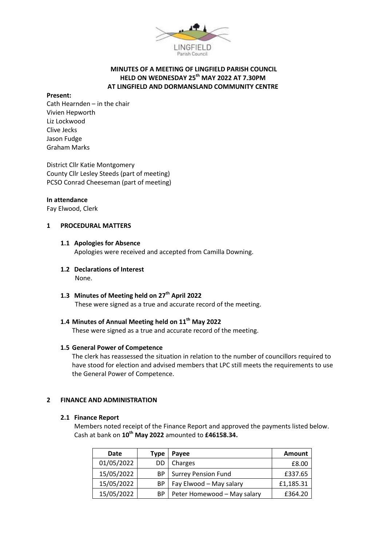

# **MINUTES OF A MEETING OF LINGFIELD PARISH COUNCIL HELD ON WEDNESDAY 25th MAY 2022 AT 7.30PM AT LINGFIELD AND DORMANSLAND COMMUNITY CENTRE**

#### **Present:**

Cath Hearnden – in the chair Vivien Hepworth Liz Lockwood Clive Jecks Jason Fudge Graham Marks

District Cllr Katie Montgomery County Cllr Lesley Steeds (part of meeting) PCSO Conrad Cheeseman (part of meeting)

# **In attendance**

Fay Elwood, Clerk

# **1 PROCEDURAL MATTERS**

# **1.1 Apologies for Absence**

Apologies were received and accepted from Camilla Downing.

- **1.2 Declarations of Interest** None.
- **1.3 Minutes of Meeting held on 27th April 2022** These were signed as a true and accurate record of the meeting.

# **1.4 Minutes of Annual Meeting held on 11th May 2022**

These were signed as a true and accurate record of the meeting.

# **1.5 General Power of Competence**

The clerk has reassessed the situation in relation to the number of councillors required to have stood for election and advised members that LPC still meets the requirements to use the General Power of Competence.

# **2 FINANCE AND ADMINISTRATION**

# **2.1 Finance Report**

Members noted receipt of the Finance Report and approved the payments listed below. Cash at bank on **10th May 2022** amounted to **£46158.34.**

| Date       | <b>Type</b> | Payee                       | Amount    |
|------------|-------------|-----------------------------|-----------|
| 01/05/2022 | DD          | Charges                     | £8.00     |
| 15/05/2022 | BP.         | <b>Surrey Pension Fund</b>  | £337.65   |
| 15/05/2022 | BP.         | Fay Elwood - May salary     | £1,185.31 |
| 15/05/2022 | ВP          | Peter Homewood - May salary | £364.20   |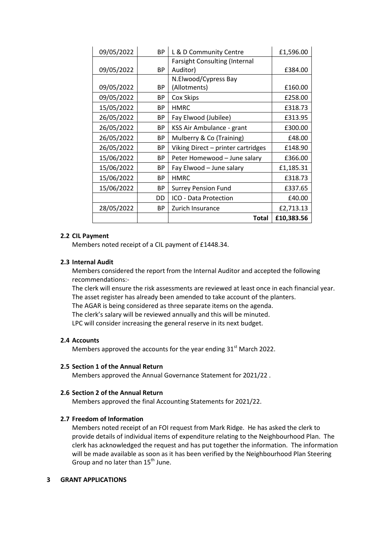| 09/05/2022 | <b>BP</b> | L & D Community Centre               | £1,596.00  |
|------------|-----------|--------------------------------------|------------|
|            |           | <b>Farsight Consulting (Internal</b> |            |
| 09/05/2022 | <b>BP</b> | Auditor)                             | £384.00    |
|            |           | N.Elwood/Cypress Bay                 |            |
| 09/05/2022 | <b>BP</b> | (Allotments)                         | £160.00    |
| 09/05/2022 | ВP        | Cox Skips                            | £258.00    |
| 15/05/2022 | <b>BP</b> | <b>HMRC</b>                          | £318.73    |
| 26/05/2022 | ВP        | Fay Elwood (Jubilee)                 | £313.95    |
| 26/05/2022 | BP        | KSS Air Ambulance - grant            | £300.00    |
| 26/05/2022 | ВP        | Mulberry & Co (Training)             | £48.00     |
| 26/05/2022 | BP        | Viking Direct - printer cartridges   | £148.90    |
| 15/06/2022 | <b>BP</b> | Peter Homewood - June salary         | £366.00    |
| 15/06/2022 | BP        | Fay Elwood - June salary             | £1,185.31  |
| 15/06/2022 | <b>BP</b> | <b>HMRC</b>                          | £318.73    |
| 15/06/2022 | BP        | <b>Surrey Pension Fund</b>           | £337.65    |
|            | DD        | ICO - Data Protection                | £40.00     |
| 28/05/2022 | BP        | Zurich Insurance                     | £2,713.13  |
|            |           | <b>Total</b>                         | £10,383.56 |

# **2.2 CIL Payment**

Members noted receipt of a CIL payment of £1448.34.

# **2.3 Internal Audit**

Members considered the report from the Internal Auditor and accepted the following recommendations:-

The clerk will ensure the risk assessments are reviewed at least once in each financial year. The asset register has already been amended to take account of the planters.

The AGAR is being considered as three separate items on the agenda.

The clerk's salary will be reviewed annually and this will be minuted.

LPC will consider increasing the general reserve in its next budget.

# **2.4 Accounts**

Members approved the accounts for the year ending  $31<sup>st</sup>$  March 2022.

# **2.5 Section 1 of the Annual Return**

Members approved the Annual Governance Statement for 2021/22 .

# **2.6 Section 2 of the Annual Return**

Members approved the final Accounting Statements for 2021/22.

# **2.7 Freedom of Information**

Members noted receipt of an FOI request from Mark Ridge. He has asked the clerk to provide details of individual items of expenditure relating to the Neighbourhood Plan. The clerk has acknowledged the request and has put together the information. The information will be made available as soon as it has been verified by the Neighbourhood Plan Steering Group and no later than  $15<sup>th</sup>$  June.

#### **3 GRANT APPLICATIONS**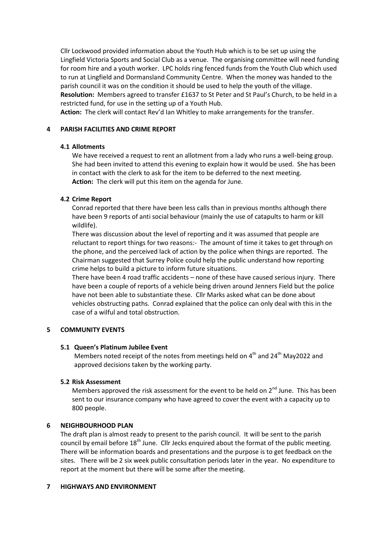Cllr Lockwood provided information about the Youth Hub which is to be set up using the Lingfield Victoria Sports and Social Club as a venue. The organising committee will need funding for room hire and a youth worker. LPC holds ring fenced funds from the Youth Club which used to run at Lingfield and Dormansland Community Centre. When the money was handed to the parish council it was on the condition it should be used to help the youth of the village. **Resolution:** Members agreed to transfer £1637 to St Peter and St Paul's Church, to be held in a restricted fund, for use in the setting up of a Youth Hub.

**Action:** The clerk will contact Rev'd Ian Whitley to make arrangements for the transfer.

# **4 PARISH FACILITIES AND CRIME REPORT**

# **4.1 Allotments**

We have received a request to rent an allotment from a lady who runs a well-being group. She had been invited to attend this evening to explain how it would be used. She has been in contact with the clerk to ask for the item to be deferred to the next meeting. **Action:** The clerk will put this item on the agenda for June.

# **4.2 Crime Report**

Conrad reported that there have been less calls than in previous months although there have been 9 reports of anti social behaviour (mainly the use of catapults to harm or kill wildlife).

There was discussion about the level of reporting and it was assumed that people are reluctant to report things for two reasons:- The amount of time it takes to get through on the phone, and the perceived lack of action by the police when things are reported. The Chairman suggested that Surrey Police could help the public understand how reporting crime helps to build a picture to inform future situations.

There have been 4 road traffic accidents – none of these have caused serious injury. There have been a couple of reports of a vehicle being driven around Jenners Field but the police have not been able to substantiate these. Cllr Marks asked what can be done about vehicles obstructing paths. Conrad explained that the police can only deal with this in the case of a wilful and total obstruction.

# **5 COMMUNITY EVENTS**

# **5.1 Queen's Platinum Jubilee Event**

Members noted receipt of the notes from meetings held on  $4<sup>th</sup>$  and  $24<sup>th</sup>$  May2022 and approved decisions taken by the working party.

# **5.2 Risk Assessment**

Members approved the risk assessment for the event to be held on  $2<sup>nd</sup>$  June. This has been sent to our insurance company who have agreed to cover the event with a capacity up to 800 people.

# **6 NEIGHBOURHOOD PLAN**

The draft plan is almost ready to present to the parish council. It will be sent to the parish council by email before  $18<sup>th</sup>$  June. Cllr Jecks enquired about the format of the public meeting. There will be information boards and presentations and the purpose is to get feedback on the sites. There will be 2 six week public consultation periods later in the year. No expenditure to report at the moment but there will be some after the meeting.

# **7 HIGHWAYS AND ENVIRONMENT**